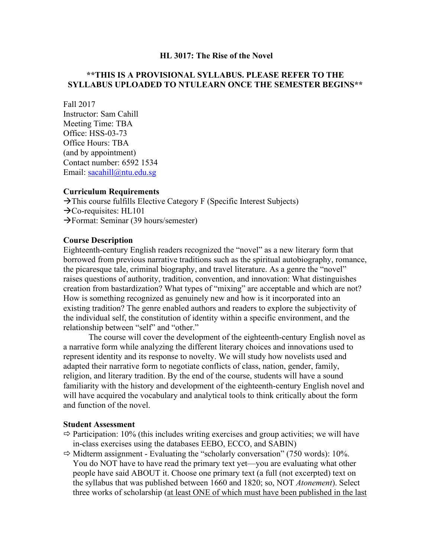#### **HL 3017: The Rise of the Novel**

## **\*\*THIS IS A PROVISIONAL SYLLABUS. PLEASE REFER TO THE SYLLABUS UPLOADED TO NTULEARN ONCE THE SEMESTER BEGINS\*\***

Fall 2017

Instructor: Sam Cahill Meeting Time: TBA Office: HSS-03-73 Office Hours: TBA (and by appointment) Contact number: 6592 1534 Email: [sacahill@ntu.edu.sg](mailto:sacahill@ntu.edu.sg)

#### **Curriculum Requirements**

 $\rightarrow$  This course fulfills Elective Category F (Specific Interest Subjects)  $\rightarrow$ Co-requisites: HL101 Format: Seminar (39 hours/semester)

#### **Course Description**

Eighteenth-century English readers recognized the "novel" as a new literary form that borrowed from previous narrative traditions such as the spiritual autobiography, romance, the picaresque tale, criminal biography, and travel literature. As a genre the "novel" raises questions of authority, tradition, convention, and innovation: What distinguishes creation from bastardization? What types of "mixing" are acceptable and which are not? How is something recognized as genuinely new and how is it incorporated into an existing tradition? The genre enabled authors and readers to explore the subjectivity of the individual self, the constitution of identity within a specific environment, and the relationship between "self" and "other."

The course will cover the development of the eighteenth-century English novel as a narrative form while analyzing the different literary choices and innovations used to represent identity and its response to novelty. We will study how novelists used and adapted their narrative form to negotiate conflicts of class, nation, gender, family, religion, and literary tradition. By the end of the course, students will have a sound familiarity with the history and development of the eighteenth-century English novel and will have acquired the vocabulary and analytical tools to think critically about the form and function of the novel.

#### **Student Assessment**

- $\Rightarrow$  Participation: 10% (this includes writing exercises and group activities; we will have in-class exercises using the databases EEBO, ECCO, and SABIN)
- $\Rightarrow$  Midterm assignment Evaluating the "scholarly conversation" (750 words): 10%. You do NOT have to have read the primary text yet—you are evaluating what other people have said ABOUT it. Choose one primary text (a full (not excerpted) text on the syllabus that was published between 1660 and 1820; so, NOT *Atonement*). Select three works of scholarship (at least ONE of which must have been published in the last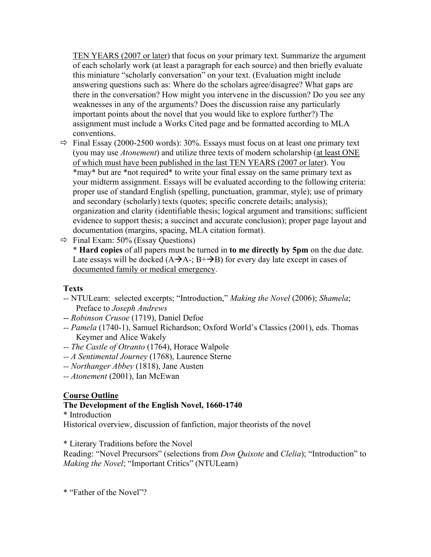TEN YEARS (2007 or later) that focus on your primary text. Summarize the argument of each scholarly work (at least a paragraph for each source) and then briefly evaluate this miniature "scholarly conversation" on your text. (Evaluation might include answering questions such as: Where do the scholars agree/disagree? What gaps are there in the conversation? How might you intervene in the discussion? Do you see any weaknesses in any of the arguments? Does the discussion raise any particularly important points about the novel that you would like to explore further?) The assignment must include a Works Cited page and be formatted according to MLA conventions.

- $\Rightarrow$  Final Essay (2000-2500 words): 30%. Essays must focus on at least one primary text (you may use *Atonement*) and utilize three texts of modern scholarship (at least ONE of which must have been published in the last TEN YEARS (2007 or later). You \*may\* but are \*not required\* to write your final essay on the same primary text as your midterm assignment. Essays will be evaluated according to the following criteria: proper use of standard English (spelling, punctuation, grammar, style); use of primary and secondary (scholarly) texts (quotes; specific concrete details; analysis); organization and clarity (identifiable thesis; logical argument and transitions; sufficient evidence to support thesis; a succinct and accurate conclusion); proper page layout and documentation (margins, spacing, MLA citation format).
- $\Rightarrow$  Final Exam: 50% (Essay Questions)

\* **Hard copies** of all papers must be turned in **to me directly by 5pm** on the due date. Late essays will be docked  $(A\rightarrow A^{-}$ ;  $B^{+}\rightarrow B)$  for every day late except in cases of documented family or medical emergency.

# **Texts**

- *--* NTULearn: selected excerpts; "Introduction," *Making the Novel* (2006); *Shamela*; Preface to *Joseph Andrews*
- -- *Robinson Crusoe* (1719), Daniel Defoe
- *-- Pamela* (1740-1), Samuel Richardson; Oxford World's Classics (2001), eds. Thomas Keymer and Alice Wakely
- *-- The Castle of Otranto* (1764), Horace Walpole
- *-- A Sentimental Journey* (1768), Laurence Sterne
- *-- Northanger Abbey* (1818), Jane Austen
- *-- Atonement* (2001), Ian McEwan

# **Course Outline**

# **The Development of the English Novel, 1660-1740**

\* Introduction

Historical overview, discussion of fanfiction, major theorists of the novel

\* Literary Traditions before the Novel

Reading: "Novel Precursors" (selections from *Don Quixote* and *Clelia*); "Introduction" to *Making the Novel*; "Important Critics" (NTULearn)

\* "Father of the Novel"?